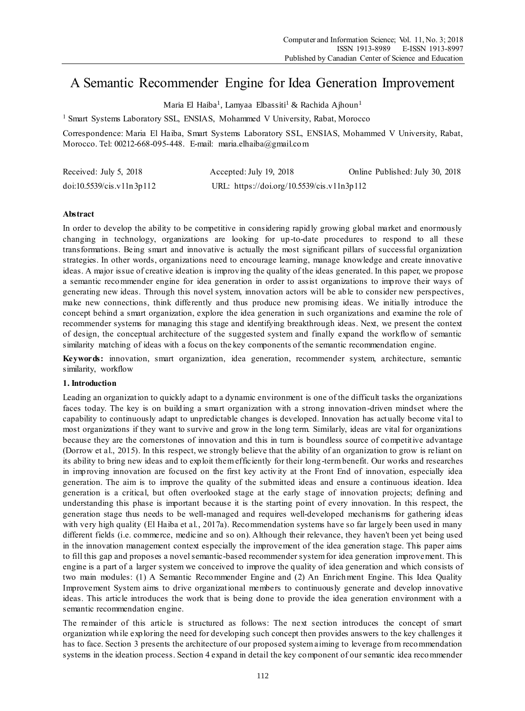# A Semantic Recommender Engine for Idea Generation Improvement

Maria El Haiba<sup>1</sup>, Lamyaa Elbassiti<sup>1</sup> & Rachida Ajhoun<sup>1</sup>

<sup>1</sup> Smart Systems Laboratory SSL, ENSIAS, Mohammed V University, Rabat, Morocco

Correspondence: Maria El Haiba, Smart Systems Laboratory SSL, ENSIAS, Mohammed V University, Rabat, Morocco. Tel: 00212-668-095-448. E-mail: maria.elhaiba@gmail.com

| Received: July 5, 2018    | Accepted: July 19, 2018                    | Online Published: July 30, 2018 |
|---------------------------|--------------------------------------------|---------------------------------|
| doi:10.5539/cis.v11n3p112 | URL: https://doi.org/10.5539/cis.v11n3p112 |                                 |

# **Abstract**

In order to develop the ability to be competitive in considering rapidly growing global market and enormously changing in technology, organizations are looking for up-to-date procedures to respond to all these transformations. Being smart and innovative is actually the most significant pillars of successful organization strategies. In other words, organizations need to encourage learning, manage knowledge and create innovative ideas. A major issue of creative ideation is improving the quality of the ideas generated. In this paper, we propose a semantic recommender engine for idea generation in order to assist organizations to improve their ways of generating new ideas. Through this novel system, innovation actors will be able to consider new perspectives, make new connections, think differently and thus produce new promising ideas. We initially introduce the concept behind a smart organization, explore the idea generation in such organizations and examine the role of recommender systems for managing this stage and identifying breakthrough ideas. Next, we present the context of design, the conceptual architecture of the suggested system and finally expand the workflow of semantic similarity matching of ideas with a focus on the key components of the semantic recommendation engine.

**Keywords:** innovation, smart organization, idea generation, recommender system, architecture, semantic similarity, workflow

#### **1. Introduction**

Leading an organization to quickly adapt to a dynamic environment is one of the difficult tasks the organizations faces today. The key is on building a smart organization with a strong innovation -driven mindset where the capability to continuously adapt to unpredictable changes is developed. Innovation has act ually become vital to most organizations if they want to survive and grow in the long term. Similarly, ideas are vital for organizations because they are the cornerstones of innovation and this in turn is boundless source of competitive advantage (Dorrow et al., 2015). In this respect, we strongly believe that the ability of an organization to grow is reliant on its ability to bring new ideas and to exploit them efficiently for their long-term benefit. Our works and researches in improving innovation are focused on the first key activity at the Front End of innovation, especially idea generation. The aim is to improve the quality of the submitted ideas and ensure a continuous ideation. Idea generation is a critical, but often overlooked stage at the early stage of innovation projects; defining and understanding this phase is important because it is the starting point of every innovation. In this respect, the generation stage thus needs to be well-managed and requires well-developed mechanisms for gathering ideas with very high quality (El Haiba et al., 2017a). Recommendation systems have so far largely been used in many different fields (i.e. commerce, medicine and so on). Although their relevance, they haven't been yet being used in the innovation management context especially the improvement of the idea generation stage. This paper aims to fill this gap and proposes a novel semantic-based recommender system for idea generation improvement. This engine is a part of a larger system we conceived to improve the quality of idea generation and which consists of two main modules: (1) A Semantic Recommender Engine and (2) An Enrichment Engine. This Idea Quality Improvement System aims to drive organizational members to continuously generate and develop innovative ideas. This article introduces the work that is being done to provide the idea generation environment with a semantic recommendation engine.

The remainder of this article is structured as follows: The next section introduces the concept of smart organization while exploring the need for developing such concept then provides answers to the key challenges it has to face. Section 3 presents the architecture of our proposed system aiming to leverage from recommendation systems in the ideation process. Section 4 expand in detail the key component of our semantic idea recommender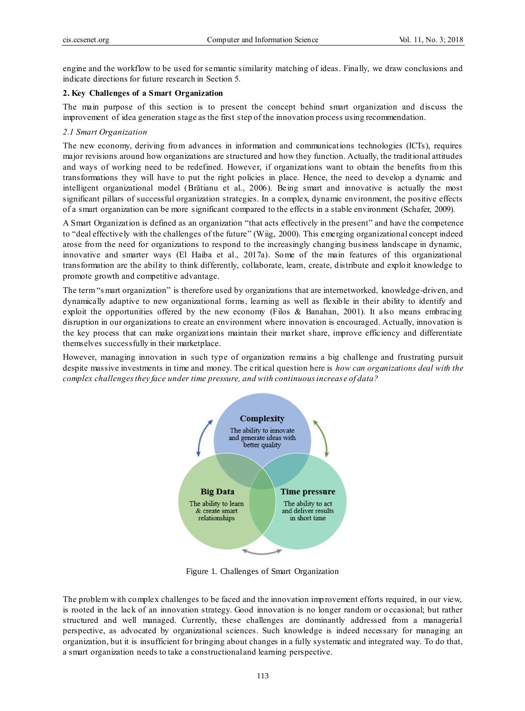engine and the workflow to be used for semantic similarity matching of ideas. Finally, we draw conclusions and indicate directions for future research in Section 5.

## **2. Key Challenges of a Smart Organization**

The main purpose of this section is to present the concept behind smart organization and discuss the improvement of idea generation stage as the first step of the innovation process using recommendation.

## *2.1 Smart Organization*

The new economy, deriving from advances in information and communications technologies (ICTs), requires major revisions around how organizations are structured and how they function. Actually, the traditional attitudes and ways of working need to be redefined. However, if organizations want to obtain the benefits from this transformations they will have to put the right policies in place. Hence, the need to develop a dynamic and intelligent organizational model (Brătianu et al., 2006). Being smart and innovative is actually the most significant pillars of successful organization strategies. In a complex, dynamic environment, the positive effects of a smart organization can be more significant compared to the effects in a stable environment (Schafer, 2009).

A Smart Organization is defined as an organization "that acts effectively in the present" and have the competence to "deal effectively with the challenges of the future" (Wiig, 2000). This emerging organizational concept indeed arose from the need for organizations to respond to the increasingly changing business landscape in dynamic, innovative and smarter ways (El Haiba et al., 2017a). Some of the main features of this organizational transformation are the ability to think differently, collaborate, learn, create, distribute and exploit knowledge to promote growth and competitive advantage.

The term "s mart organization" is therefore used by organizations that are internetworked, knowledge-driven, and dynamically adaptive to new organizational forms, learning as well as flexible in their ability to identify and exploit the opportunities offered by the new economy (Filos & Banahan, 2001). It also means embracing disruption in our organizations to create an environment where innovation is encouraged. Actually, innovation is the key process that can make organizations maintain their market share, improve efficiency and differentiate themselves successfully in their marketplace.

However, managing innovation in such type of organization remains a big challenge and frustrating pursuit despite massive investments in time and money. The critical question here is *how can organizations deal with the complex challenges they face under time pressure, and with continuous increase of data?*



Figure 1. Challenges of Smart Organization

The problem with complex challenges to be faced and the innovation improvement efforts required, in our view, is rooted in the lack of an innovation strategy. Good innovation is no longer random or o ccasional; but rather structured and well managed. Currently, these challenges are dominantly addressed from a managerial perspective, as advocated by organizational sciences. Such knowledge is indeed necessary for managing an organization, but it is insufficient for bringing about changes in a fully systematic and integrated way. To do that, a smart organization needs to take a constructional and learning perspective.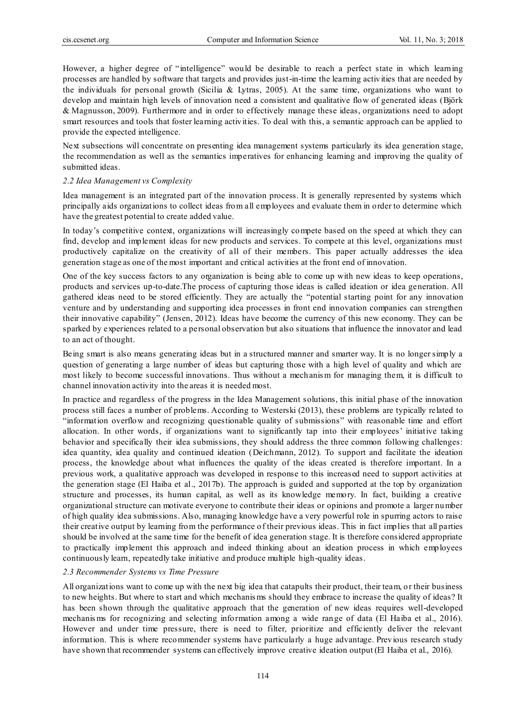However, a higher degree of "intelligence" would be desirable to reach a perfect state in which learning processes are handled by software that targets and provides just-in-time the learning activities that are needed by the individuals for personal growth (Sicilia & Lytras, 2005). At the same time, organizations who want to develop and maintain high levels of innovation need a consistent and qualitative flow of generated ideas (Björk & Magnusson, 2009). Furthermore and in order to effectively manage these ideas, organizations need to adopt smart resources and tools that foster learning activities. To deal with this, a semantic approach can be applied to provide the expected intelligence.

Next subsections will concentrate on presenting idea management systems particularly its idea generation stage, the recommendation as well as the semantics imperatives for enhancing learning and improving the quality of submitted ideas.

### *2.2 Idea Management vs Complexity*

Idea management is an integrated part of the innovation process. It is generally represented by systems which principally aids organizations to collect ideas from all employees and evaluate them in order to determine which have the greatest potential to create added value.

In today's competitive context, organizations will increasingly compete based on the speed at which they can find, develop and implement ideas for new products and services. To compete at this level, organizations must productively capitalize on the creativity of all of their members. This paper actually addresses the idea generation stage as one of the most important and critical activities at the front end of innovation.

One of the key success factors to any organization is being able to come up with new ideas to keep operations, products and services up-to-date.The process of capturing those ideas is called ideation or idea generation. All gathered ideas need to be stored efficiently. They are actually the "potential starting point for any innovation venture and by understanding and supporting idea processes in front end innovation companies can strengthen their innovative capability" (Jensen, 2012). Ideas have become the currency of this new economy. They can be sparked by experiences related to a personal observation but also situations that influence the innovator and lead to an act of thought.

Being smart is also means generating ideas but in a structured manner and smarter way. It is no longer simply a question of generating a large number of ideas but capturing those with a high level of quality and which are most likely to become successful innovations. Thus without a mechanis m for managing them, it is difficult to channel innovation activity into the areas it is needed most.

In practice and regardless of the progress in the Idea Management solutions, this initial phase of the innovation process still faces a number of problems. According to Westerski (2013), these problems are typically related to "information overflow and recognizing questionable quality of submissions" with reasonable time and effort allocation. In other words, if organizations want to significantly tap into their employees' initiative taking behavior and specifically their idea submissions, they should address the three common following challenges: idea quantity, idea quality and continued ideation (Deichmann, 2012). To support and facilitate the ideation process, the knowledge about what influences the quality of the ideas created is therefore important. In a previous work, a qualitative approach was developed in response to this increased need to support activities at the generation stage (El Haiba et al., 2017b). The approach is guided and supported at the top by organization structure and processes, its human capital, as well as its knowledge memory. In fact, building a creative organizational structure can motivate everyone to contribute their ideas or opinions and promote a larger number of high quality idea submissions. Also, managing knowledge have a very powerful role in spurring actors to raise their creative output by learning from the performance of their previous ideas. This in fact implies that all parties should be involved at the same time for the benefit of idea generation stage. It is therefore considered appropriate to practically implement this approach and indeed thinking about an ideation process in which employees continuously learn, repeatedly take initiative and produce multiple high-quality ideas.

#### *2.3 Recommender Systems vs Time Pressure*

All organizations want to come up with the next big idea that catapults their product, their team, or their business to new heights. But where to start and which mechanis ms should they embrace to increase the quality of ideas? It has been shown through the qualitative approach that the generation of new ideas requires well-developed mechanis ms for recognizing and selecting information among a wide range of data (El Haiba et al., 2016). However and under time pressure, there is need to filter, prioritize and efficiently deliver the relevant information. This is where recommender systems have particularly a huge advantage. Previous research study have shown that recommender systems can effectively improve creative ideation output (El Haiba et al., 2016).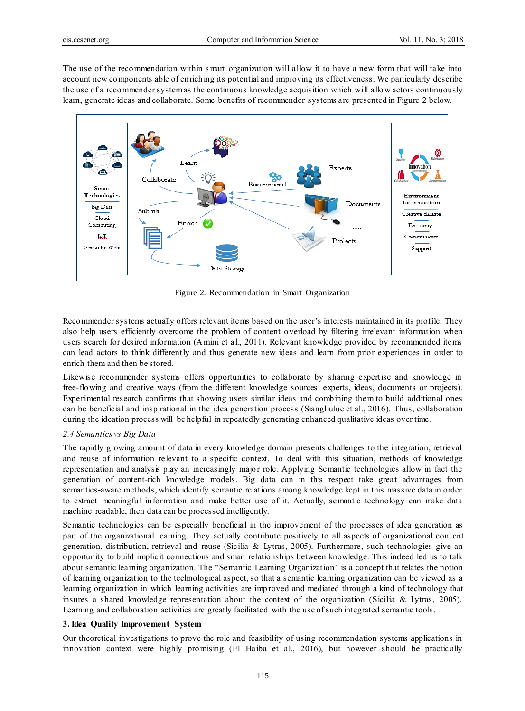The use of the recommendation within s mart organization will allow it to have a new form that will take into account new components able of enriching its potential and improving its effectiveness. We particularly describe the use of a recommender system as the continuous knowledge acquisition which will allow actors continuously learn, generate ideas and collaborate. Some benefits of recommender systems are presented in Figure 2 below.



Figure 2. Recommendation in Smart Organization

Recommender systems actually offers relevant items based on the user's interests maintained in its profile. They also help users efficiently overcome the problem of content overload by filtering irrelevant information when users search for desired information (Amini et al., 2011). Relevant knowledge provided by recommended items can lead actors to think differently and thus generate new ideas and learn from prior experiences in order to enrich them and then be stored.

Likewise recommender systems offers opportunities to collaborate by sharing expertise and knowledge in free-flowing and creative ways (from the different knowledge sources: experts, ideas, documents or projects). Experimental research confirms that showing users similar ideas and combining them to build additional ones can be beneficial and inspirational in the idea generation process (Siangliulue et al., 2016). Thus, collaboration during the ideation process will be helpful in repeatedly generating enhanced qualitative ideas over time.

# *2.4 Semantics vs Big Data*

The rapidly growing amount of data in every knowledge domain presents challenges to the integration, retrieval and reuse of information relevant to a specific context. To deal with this situation, methods of knowledge representation and analysis play an increasingly major role. Applying Semantic technologies allow in fact the generation of content-rich knowledge models. Big data can in this respect take great advantages from semantics-aware methods, which identify semantic relations among knowledge kept in this massive data in order to extract meaningful information and make better use of it. Actually, semantic technology can make data machine readable, then data can be processed intelligently.

Semantic technologies can be especially beneficial in the improvement of the processes of idea generation as part of the organizational learning. They actually contribute positively to all aspects of organizational cont ent generation, distribution, retrieval and reuse (Sicilia & Lytras, 2005). Furthermore, such technologies give an opportunity to build implicit connections and smart relationships between knowledge. This indeed led us to talk about semantic learning organization. The "Semantic Learning Organization" is a concept that relates the notion of learning organization to the technological aspect, so that a semantic learning organization can be viewed as a learning organization in which learning activities are improved and mediated through a kind of technology that insures a shared knowledge representation about the context of the organization (Sicilia & Lytras, 2005). Learning and collaboration activities are greatly facilitated with the use of such integrated semantic tools.

#### **3. Idea Quality Improvement System**

Our theoretical investigations to prove the role and feasibility of using recommendation systems applications in innovation context were highly promising (El Haiba et al., 2016), but however should be practic ally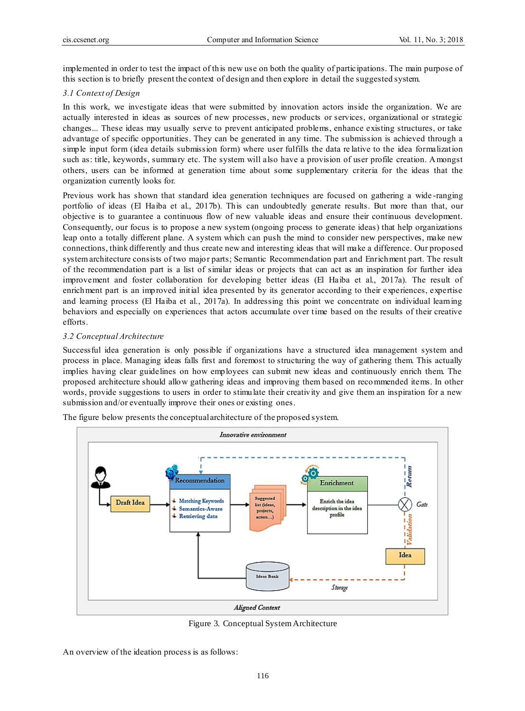implemented in order to test the impact of this new use on both the quality of participations. The main purpose of this section is to briefly present the context of design and then explore in detail the suggested system.

## *3.1 Context of Design*

In this work, we investigate ideas that were submitted by innovation actors inside the organization. We are actually interested in ideas as sources of new processes, new products or services, organizational or strategic changes... These ideas may usually serve to prevent anticipated problems, enhance existing structures, or take advantage of specific opportunities. They can be generated in any time. The submission is achieved through a simple input form (idea details submission form) where user fulfills the data re lative to the idea formalization such as: title, keywords, summary etc. The system will also have a provision of user profile creation. Amongst others, users can be informed at generation time about some supplementary criteria for the ideas that the organization currently looks for.

Previous work has shown that standard idea generation techniques are focused on gathering a wide -ranging portfolio of ideas (El Haiba et al., 2017b). This can undoubtedly generate results. But more than that, our objective is to guarantee a continuous flow of new valuable ideas and ensure their continuous development. Consequently, our focus is to propose a new system (ongoing process to generate ideas) that help organizations leap onto a totally different plane. A system which can push the mind to consider new perspectives, make new connections, think differently and thus create new and interesting ideas that will make a difference. Our proposed system architecture consists of two major parts; Semantic Recommendation part and Enrichment part. The result of the recommendation part is a list of similar ideas or projects that can act as an inspiration for further idea improvement and foster collaboration for developing better ideas (El Haiba et al., 2017a). The result of enrichment part is an improved initial idea presented by its generator according to their experiences, expertise and learning process (El Haiba et al., 2017a). In addressing this point we concentrate on individual learning behaviors and especially on experiences that actors accumulate over time based on the results of their creative efforts.

## *3.2 Conceptual Architecture*

Successful idea generation is only possible if organizations have a structured idea management system and process in place. Managing ideas falls first and foremost to structuring the way of gathering them. This actually implies having clear guidelines on how employees can submit new ideas and continuously enrich them. The proposed architecture should allow gathering ideas and improving them based on recommended items. In other words, provide suggestions to users in order to stimulate their creativity and give them an inspiration for a new submission and/or eventually improve their ones or existing ones.



The figure below presents the conceptual architecture of the proposed system.

Figure 3. Conceptual System Architecture

An overview of the ideation process is as follows: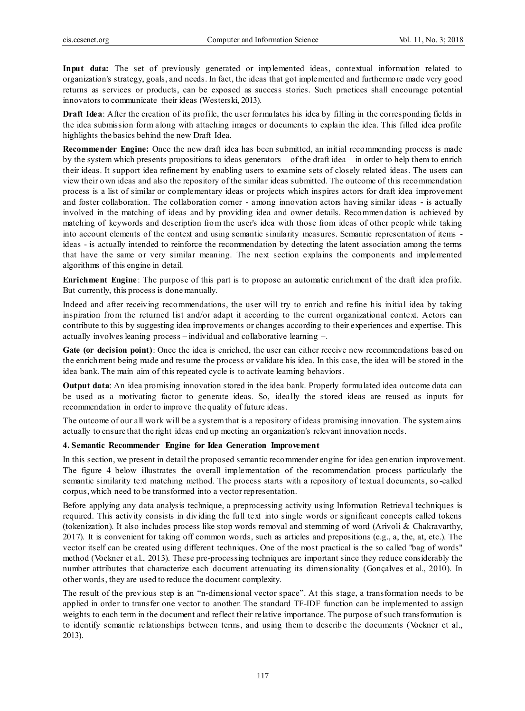**Input data:** The set of previously generated or implemented ideas, contextual information related to organization's strategy, goals, and needs. In fact, the ideas that got implemented and furthermore made very good returns as services or products, can be exposed as success stories. Such practices shall encourage potential innovators to communicate their ideas (Westerski, 2013).

**Draft Idea**: After the creation of its profile, the user formulates his idea by filling in the corresponding fields in the idea submission form along with attaching images or documents to explain the idea. This filled idea profile highlights the basics behind the new Draft Idea.

**Recommender Engine:** Once the new draft idea has been submitted, an initial recommending process is made by the system which presents propositions to ideas generators – of the draft idea – in order to help them to enrich their ideas. It support idea refinement by enabling users to examine sets of closely related ideas. The users can view their own ideas and also the repository of the similar ideas submitted. The outcome of this recommendation process is a list of similar or complementary ideas or projects which inspires actors for draft idea improvement and foster collaboration. The collaboration corner - among innovation actors having similar ideas - is actually involved in the matching of ideas and by providing idea and owner details. Recommen dation is achieved by matching of keywords and description from the user's idea with those from ideas of other people while taking into account elements of the context and using semantic similarity measures. Semantic representation of items ideas - is actually intended to reinforce the recommendation by detecting the latent association among the terms that have the same or very similar meaning. The next section explains the components and implemented algorithms of this engine in detail.

**Enrichment Engine**: The purpose of this part is to propose an automatic enrichment of the draft idea profile. But currently, this process is done manually.

Indeed and after receiving recommendations, the user will try to enrich and refine his initial idea by taking inspiration from the returned list and/or adapt it according to the current organizational context. Actors can contribute to this by suggesting idea improvements or changes according to their experiences and expertise. This actually involves leaning process – individual and collaborative learning –.

**Gate (or decision point)**: Once the idea is enriched, the user can either receive new recommendations based on the enrichment being made and resume the process or validate his idea. In this case, the idea will be stored in the idea bank. The main aim of this repeated cycle is to activate learning behaviors.

**Output data**: An idea promising innovation stored in the idea bank. Properly formulated idea outcome data can be used as a motivating factor to generate ideas. So, ideally the stored ideas are reused as inputs for recommendation in order to improve the quality of future ideas.

The outcome of our all work will be a system that is a repository of ideas promising innovation. The system aims actually to ensure that the right ideas end up meeting an organization's relevant innovation needs.

# **4. Semantic Recommender Engine for Idea Generation Improvement**

In this section, we present in detail the proposed semantic recommender engine for idea gen eration improvement. The figure 4 below illustrates the overall implementation of the recommendation process particularly the semantic similarity text matching method. The process starts with a repository of textual documents, so -called corpus, which need to be transformed into a vector representation.

Before applying any data analysis technique, a preprocessing activity using Information Retrieval techniques is required. This activity consists in dividing the full text into single words or significant concepts called tokens (tokenization). It also includes process like stop words removal and stemming of word (Arivoli & Chakravarthy, 2017). It is convenient for taking off common words, such as articles and prepositions (e.g., a, the, at, etc.). The vector itself can be created using different techniques. One of the most practical is the so called ''bag of words'' method (Vockner et al., 2013). These pre-processing techniques are important since they reduce considerably the number attributes that characterize each document attenuating its dimen sionality (Gonçalves et al., 2010). In other words, they are used to reduce the document complexity.

The result of the previous step is an "n-dimensional vector space". At this stage, a transformation needs to be applied in order to transfer one vector to another. The standard TF-IDF function can be implemented to assign weights to each term in the document and reflect their relative importance. The purpose of such transformation is to identify semantic relationships between terms, and using them to describe the documents (Vockner et al., 2013).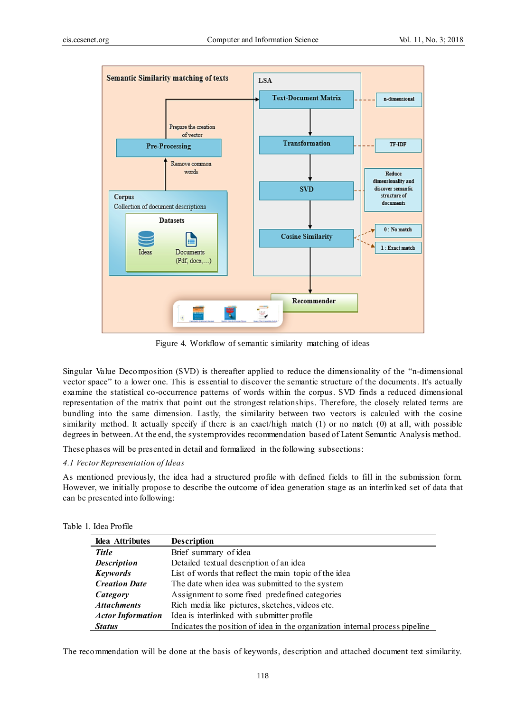

Figure 4. Workflow of semantic similarity matching of ideas

Singular Value Decomposition (SVD) is thereafter applied to reduce the dimensionality of the "n-dimensional vector space" to a lower one. This is essential to discover the semantic structure of the documents. It's actually examine the statistical co-occurrence patterns of words within the corpus. SVD finds a reduced dimensional representation of the matrix that point out the strongest relationships. Therefore, the closely related terms are bundling into the same dimension. Lastly, the similarity between two vectors is calculed with the cosine similarity method. It actually specify if there is an exact/high match (1) or no match (0) at all, with possible degrees in between. At the end, the system provides recommendation based of Latent Semantic Analysis method.

These phases will be presented in detail and formalized in the following subsections:

# *4.1 Vector Representation of Ideas*

As mentioned previously, the idea had a structured profile with defined fields to fill in the submission form. However, we initially propose to describe the outcome of idea generation stage as an interlinked set of data that can be presented into following:

|  |  |  | Table 1. Idea Profile |
|--|--|--|-----------------------|
|--|--|--|-----------------------|

| Idea Attributes          | <b>Description</b>                                                           |
|--------------------------|------------------------------------------------------------------------------|
| <b>Title</b>             | Brief summary of idea                                                        |
| <b>Description</b>       | Detailed textual description of an idea                                      |
| <b>Keywords</b>          | List of words that reflect the main topic of the idea                        |
| <b>Creation Date</b>     | The date when idea was submitted to the system                               |
| Category                 | Assignment to some fixed predefined categories                               |
| <b>Attachments</b>       | Rich media like pictures, sketches, videos etc.                              |
| <b>Actor Information</b> | Idea is interlinked with submitter profile                                   |
| <b>Status</b>            | Indicates the position of idea in the organization internal process pipeline |

The recommendation will be done at the basis of keywords, description and attached document text similarity.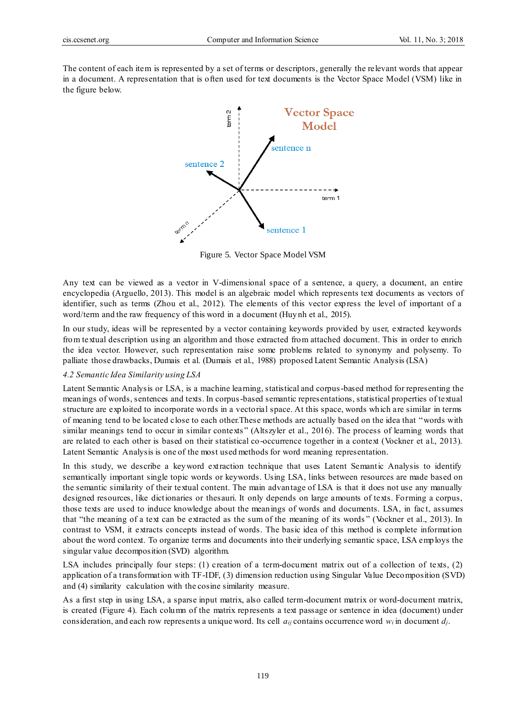The content of each item is represented by a set of terms or descriptors, generally the relevant words that appear in a document. A representation that is often used for text documents is the Vector Space Model (VSM) like in the figure below.



Figure 5. Vector Space Model VSM

Any text can be viewed as a vector in V-dimensional space of a sentence, a query, a document, an entire encyclopedia (Arguello, 2013). This model is an algebraic model which represents text documents as vectors of identifier, such as terms (Zhou et al., 2012). The elements of this vector express the level of important of a word/term and the raw frequency of this word in a document (Huynh et al., 2015).

In our study, ideas will be represented by a vector containing keywords provided by user, extracted keywords from textual description using an algorithm and those extracted from attached document. This in order to enrich the idea vector. However, such representation raise some problems related to synonymy and polysemy. To palliate those drawbacks, Dumais et al. (Dumais et al., 1988) proposed Latent Semantic Analysis (LSA)

#### *4.2 Semantic Idea Similarity using LSA*

Latent Semantic Analysis or LSA, is a machine learning, statistical and corpus-based method for representing the meanings of words, sentences and texts. In corpus-based semantic representations, statistical properties of textual structure are exploited to incorporate words in a vectorial space. At this space, words which are similar in terms of meaning tend to be located close to each other.These methods are actually based on the idea that "words with similar meanings tend to occur in similar contexts" (Altszyler et al., 2016). The process of learning words that are related to each other is based on their statistical co-occurrence together in a context (Vockner et al., 2013). Latent Semantic Analysis is one of the most used methods for word meaning representation.

In this study, we describe a keyword extraction technique that uses Latent Semantic Analysis to identify semantically important single topic words or keywords. Using LSA, links between resources are made based on the semantic similarity of their textual content. The main advantage of LSA is that it does not use any manually designed resources, like dictionaries or thesauri. It only depends on large amounts of texts. Forming a corpus, those texts are used to induce knowledge about the meanings of words and documents. LSA, in fac t, assumes that "the meaning of a text can be extracted as the sum of the meaning of its words " (Vockner et al., 2013). In contrast to VSM, it extracts concepts instead of words. The basic idea of this method is complete information about the word context. To organize terms and documents into their underlying semantic space, LSA employs the singular value decomposition (SVD) algorithm.

LSA includes principally four steps: (1) creation of a term-document matrix out of a collection of texts, (2) application of a transformation with TF-IDF, (3) dimension reduction using Singular Value Decomposition (SVD) and (4) similarity calculation with the cosine similarity measure.

As a first step in using LSA, a sparse input matrix, also called term-document matrix or word-document matrix, is created (Figure 4). Each column of the matrix represents a text passage or sentence in idea (document) under consideration, and each row represents a unique word. Its cell  $a_{ij}$  contains occurrence word  $w_i$  in document  $d_j$ .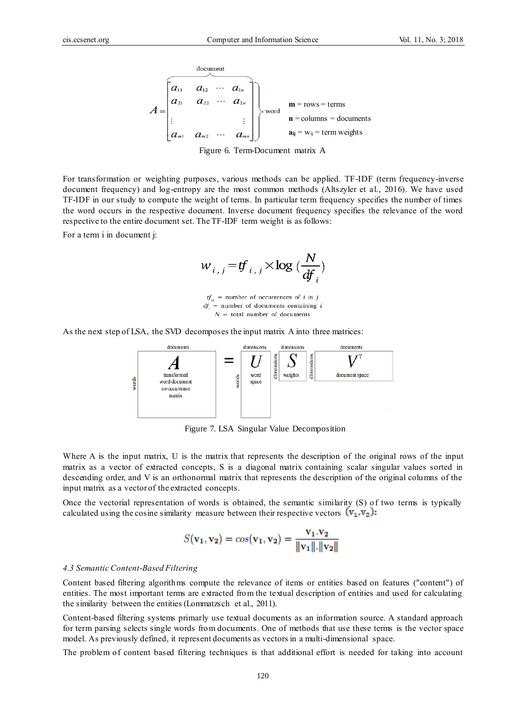

Figure 6. Term-Document matrix A

For transformation or weighting purposes, various methods can be applied. TF-IDF (term frequency-inverse document frequency) and log-entropy are the most common methods (Altszyler et al., 2016). We have used TF-IDF in our study to compute the weight of terms. In particular term frequency specifies the number of times the word occurs in the respective document. Inverse document frequency specifies the relevance of the word respective to the entire document set. The TF-IDF term weight is as follows:

For a term i in document j:

$$
w_{i,j} = tf_{i,j} \times \log\left(\frac{N}{df_i}\right)
$$

 $tf_{ij}$  = number of occurrences of *i* in *j*  $df_i$  = number of documents containing i  $N =$  total number of documents

As the next step of LSA, the SVD decomposes the input matrix A into three matrices:



Figure 7. LSA Singular Value Decomposition

Where A is the input matrix, U is the matrix that represents the description of the original rows of the input matrix as a vector of extracted concepts, S is a diagonal matrix containing scalar singular values sorted in descending order, and V is an orthonormal matrix that represents the description of the original columns of the input matrix as a vector of the extracted concepts.

Once the vectorial representation of words is obtained, the semantic similarity (S) of two terms is typically calculated using the cosine similarity measure between their respective vectors  $(v_1, v_2)$ :

$$
S(\mathbf{v}_1, \mathbf{v}_2) = \cos(\mathbf{v}_1, \mathbf{v}_2) = \frac{\mathbf{v}_1 \cdot \mathbf{v}_2}{\|\mathbf{v}_1\| \cdot \|\mathbf{v}_2\|}
$$

#### *4.3 Semantic Content-Based Filtering*

Content based filtering algorithms compute the relevance of items or entities based on features ("content") of entities. The most important terms are extracted from the textual description of entities and used for calculating the similarity between the entities (Lommatzsch et al., 2011).

Content-based filtering systems primarly use textual documents as an information source. A standard approach for term parsing selects single words from documents. One of methods that use these terms is the vector space model. As previously defined, it represent documents as vectors in a multi-dimensional space.

The problem of content based filtering techniques is that additional effort is needed for taking into account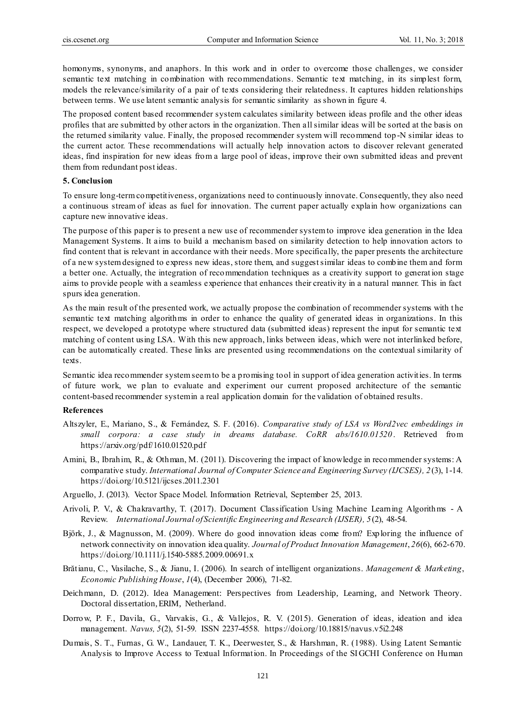homonyms, synonyms, and anaphors. In this work and in order to overcome those challenges, we consider semantic text matching in combination with recommendations. Semantic text matching, in its simplest form, models the relevance/similarity of a pair of texts considering their relatedness. It captures hidden relationships between terms. We use latent semantic analysis for semantic similarity as shown in figure 4.

The proposed content based recommender system calculates similarity between ideas profile and the other ideas profiles that are submitted by other actors in the organization. Then all similar ideas will be sorted at the basis on the returned similarity value. Finally, the proposed recommender system will recommend top -N similar ideas to the current actor. These recommendations will actually help innovation actors to discover relevant generated ideas, find inspiration for new ideas from a large pool of ideas, improve their own submitted ideas and prevent them from redundant post ideas.

### **5. Conclusion**

To ensure long-term competitiveness, organizations need to continuously innovate. Consequently, they also need a continuous stream of ideas as fuel for innovation. The current paper actually explain how organizations can capture new innovative ideas.

The purpose of this paper is to present a new use of recommender system to improve idea generation in the Idea Management Systems. It aims to build a mechanism based on similarity detection to help innovation actors to find content that is relevant in accordance with their needs. More specifically, the paper presents the architecture of a new system designed to express new ideas, store them, and suggest similar ideas to combine them and form a better one. Actually, the integration of recommendation techniques as a creativity support to generat ion stage aims to provide people with a seamless experience that enhances their creativity in a natural manner. This in fact spurs idea generation.

As the main result of the presented work, we actually propose the combination of recommender systems with t he semantic text matching algorithms in order to enhance the quality of generated ideas in organizations. In this respect, we developed a prototype where structured data (submitted ideas) represent the input for semantic text matching of content using LSA. With this new approach, links between ideas, which were not interlinked before, can be automatically created. These links are presented using recommendations on the contextual similarity of texts.

Semantic idea recommender system seem to be a promising tool in support of idea generation activities. In terms of future work, we plan to evaluate and experiment our current proposed architecture of the semantic content-based recommender system in a real application domain for the validation of obtained results.

#### **References**

- Altszyler, E., Mariano, S., & Fernández, S. F. (2016). *Comparative study of LSA vs Word2vec embeddings in small corpora: a case study in dreams database. CoRR abs/1610.01520* . Retrieved from https://arxiv.org/pdf/1610.01520.pdf
- Amini, B., Ibrahim, R., & Othman, M. (2011). Discovering the impact of knowledge in recommender systems: A comparative study. *International Journal of Computer Science and Engineering Survey (IJCSES), 2* (3), 1-14. https://doi.org/10.5121/ijcses.2011.2301
- Arguello, J. (2013). Vector Space Model. Information Retrieval, September 25, 2013.
- Arivoli, P. V., & Chakravarthy, T. (2017). Document Classification Using Machine Learning Algorithms A Review. *International Journal of Scientific Engineering and Research (IJSER), 5*(2), 48-54.
- Björk, J., & Magnusson, M. (2009). Where do good innovation ideas come from? Exploring the influence of network connectivity on innovation idea quality. *Journal of Product Innovation Management*, *26*(6), 662-670. https://doi.org/10.1111/j.1540-5885.2009.00691.x
- Brătianu, C., Vasilache, S., & Jianu, I. (2006). In search of intelligent organizations. *Management & Marketing*, *Economic Publishing House*, *1*(4), (December 2006), 71-82.
- Deichmann, D. (2012). Idea Management: Perspectives from Leadership, Learning, and Network Theory. Doctoral dissertation, ERIM, Netherland.
- Dorrow, P. F., Davila, G., Varvakis, G., & Vallejos, R. V. (2015). Generation of ideas, ideation and idea management. *Navus, 5*(2), 51-59. ISSN 2237-4558. https://doi.org/10.18815/navus.v5i2.248
- Dumais, S. T., Furnas, G. W., Landauer, T. K., Deerwester, S., & Harshman, R. (1988). Using Latent Semantic Analysis to Improve Access to Textual Information. In Proceedings of the SIGCHI Conference on Human